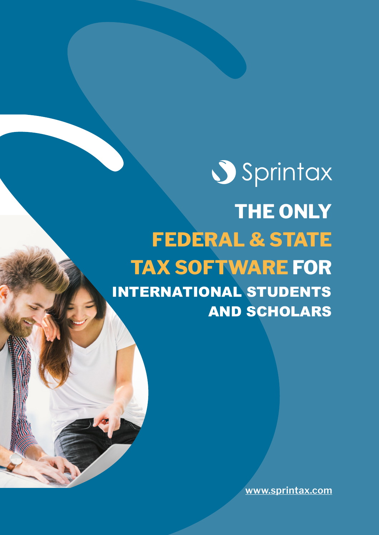# **Sprintax THE ONLY FEDERAL & STATE TAX SOFTWARE FOR**  INTERNATIONAL STUDENTS AND SCHOLARS

**[www.sprintax.com](https://www.sprintax.com/ucsb)**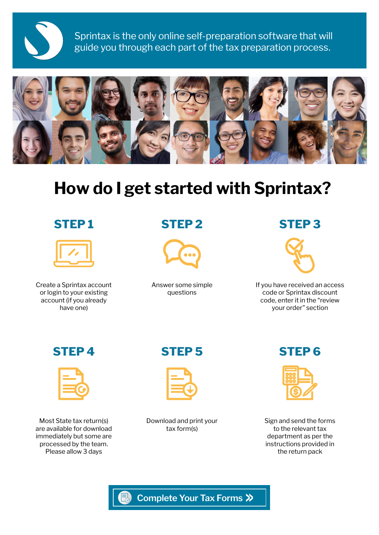

Sprintax is the only online self-preparation software that will guide you through each part of the tax preparation process.



# **How do I get started with Sprintax?**

# **STEP 1**



Create a Sprintax account or login to your existing account (if you already have one)

# **STEP 2**



Answer some simple questions

# **STEP 3**



If you have received an access code or Sprintax discount code, enter it in the "review your order" section



Most State tax return(s) are available for download immediately but some are processed by the team. Please allow 3 days

### **STEP 4 STEP 6 STEP 5**



Download and print your tax form(s)



Sign and send the forms to the relevant tax department as per the instructions provided in the return pack